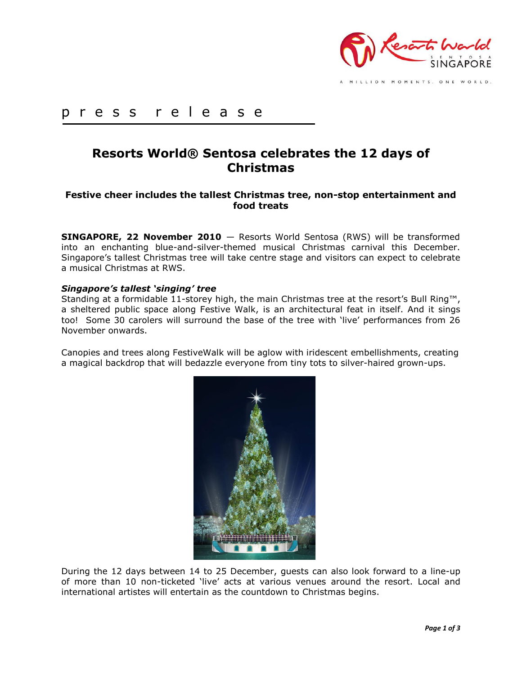

MILLION MOMENTS, ONE WORLD.

# p r e s s r e l e a s e

# **Resorts World® Sentosa celebrates the 12 days of Christmas**

# **Festive cheer includes the tallest Christmas tree, non-stop entertainment and food treats**

**SINGAPORE, 22 November 2010** — Resorts World Sentosa (RWS) will be transformed into an enchanting blue-and-silver-themed musical Christmas carnival this December. Singapore's tallest Christmas tree will take centre stage and visitors can expect to celebrate a musical Christmas at RWS.

### *Singapore's tallest 'singing' tree*

Standing at a formidable 11-storey high, the main Christmas tree at the resort's Bull Ring™, a sheltered public space along Festive Walk, is an architectural feat in itself. And it sings too! Some 30 carolers will surround the base of the tree with 'live' performances from 26 November onwards.

Canopies and trees along FestiveWalk will be aglow with iridescent embellishments, creating a magical backdrop that will bedazzle everyone from tiny tots to silver-haired grown-ups.



During the 12 days between 14 to 25 December, guests can also look forward to a line-up of more than 10 non-ticketed 'live' acts at various venues around the resort. Local and international artistes will entertain as the countdown to Christmas begins.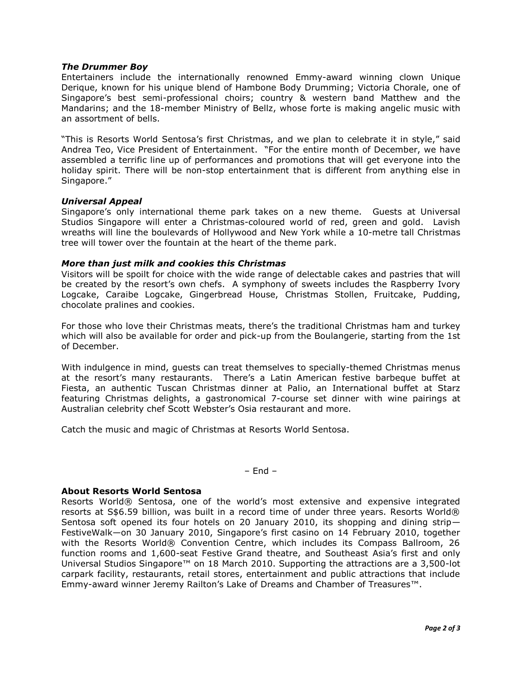#### *The Drummer Boy*

Entertainers include the internationally renowned Emmy-award winning clown Unique Derique, known for his unique blend of Hambone Body Drumming; Victoria Chorale, one of Singapore's best semi-professional choirs; country & western band Matthew and the Mandarins; and the 18-member Ministry of Bellz, whose forte is making angelic music with an assortment of bells.

"This is Resorts World Sentosa's first Christmas, and we plan to celebrate it in style," said Andrea Teo, Vice President of Entertainment. "For the entire month of December, we have assembled a terrific line up of performances and promotions that will get everyone into the holiday spirit. There will be non-stop entertainment that is different from anything else in Singapore."

#### *Universal Appeal*

Singapore's only international theme park takes on a new theme. Guests at Universal Studios Singapore will enter a Christmas-coloured world of red, green and gold. Lavish wreaths will line the boulevards of Hollywood and New York while a 10-metre tall Christmas tree will tower over the fountain at the heart of the theme park.

#### *More than just milk and cookies this Christmas*

Visitors will be spoilt for choice with the wide range of delectable cakes and pastries that will be created by the resort's own chefs. A symphony of sweets includes the Raspberry Ivory Logcake, Caraibe Logcake, Gingerbread House, Christmas Stollen, Fruitcake, Pudding, chocolate pralines and cookies.

For those who love their Christmas meats, there's the traditional Christmas ham and turkey which will also be available for order and pick-up from the Boulangerie, starting from the 1st of December.

With indulgence in mind, guests can treat themselves to specially-themed Christmas menus at the resort's many restaurants. There's a Latin American festive barbeque buffet at Fiesta, an authentic Tuscan Christmas dinner at Palio, an International buffet at Starz featuring Christmas delights, a gastronomical 7-course set dinner with wine pairings at Australian celebrity chef Scott Webster's Osia restaurant and more.

Catch the music and magic of Christmas at Resorts World Sentosa.

#### – End –

#### **About Resorts World Sentosa**

Resorts World® Sentosa, one of the world's most extensive and expensive integrated resorts at S\$6.59 billion, was built in a record time of under three years. Resorts World® Sentosa soft opened its four hotels on 20 January 2010, its shopping and dining strip— FestiveWalk—on 30 January 2010, Singapore's first casino on 14 February 2010, together with the Resorts World® Convention Centre, which includes its Compass Ballroom, 26 function rooms and 1,600-seat Festive Grand theatre, and Southeast Asia's first and only Universal Studios Singapore™ on 18 March 2010. Supporting the attractions are a 3,500-lot carpark facility, restaurants, retail stores, entertainment and public attractions that include Emmy-award winner Jeremy Railton's Lake of Dreams and Chamber of Treasures™.